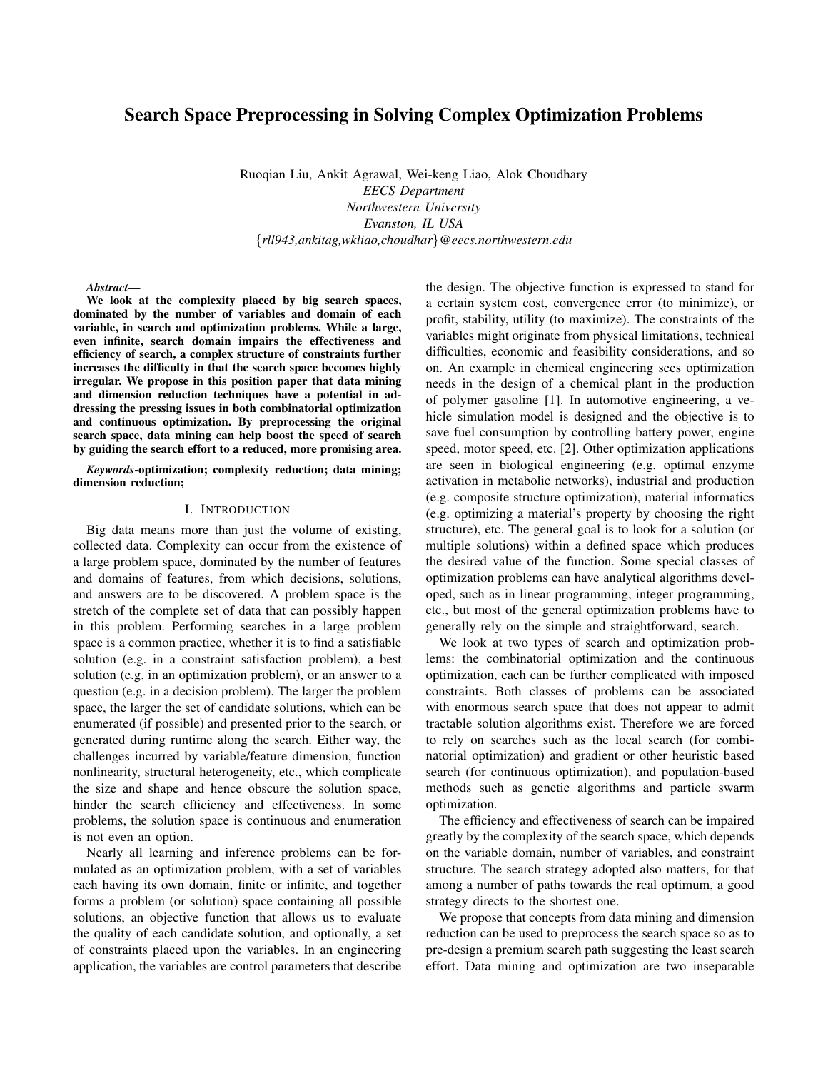# Search Space Preprocessing in Solving Complex Optimization Problems

Ruoqian Liu, Ankit Agrawal, Wei-keng Liao, Alok Choudhary *EECS Department Northwestern University Evanston, IL USA* {*rll943,ankitag,wkliao,choudhar*}*@eecs.northwestern.edu*

#### *Abstract*—

We look at the complexity placed by big search spaces, dominated by the number of variables and domain of each variable, in search and optimization problems. While a large, even infinite, search domain impairs the effectiveness and efficiency of search, a complex structure of constraints further increases the difficulty in that the search space becomes highly irregular. We propose in this position paper that data mining and dimension reduction techniques have a potential in addressing the pressing issues in both combinatorial optimization and continuous optimization. By preprocessing the original search space, data mining can help boost the speed of search by guiding the search effort to a reduced, more promising area.

*Keywords*-optimization; complexity reduction; data mining; dimension reduction;

### I. INTRODUCTION

Big data means more than just the volume of existing, collected data. Complexity can occur from the existence of a large problem space, dominated by the number of features and domains of features, from which decisions, solutions, and answers are to be discovered. A problem space is the stretch of the complete set of data that can possibly happen in this problem. Performing searches in a large problem space is a common practice, whether it is to find a satisfiable solution (e.g. in a constraint satisfaction problem), a best solution (e.g. in an optimization problem), or an answer to a question (e.g. in a decision problem). The larger the problem space, the larger the set of candidate solutions, which can be enumerated (if possible) and presented prior to the search, or generated during runtime along the search. Either way, the challenges incurred by variable/feature dimension, function nonlinearity, structural heterogeneity, etc., which complicate the size and shape and hence obscure the solution space, hinder the search efficiency and effectiveness. In some problems, the solution space is continuous and enumeration is not even an option.

Nearly all learning and inference problems can be formulated as an optimization problem, with a set of variables each having its own domain, finite or infinite, and together forms a problem (or solution) space containing all possible solutions, an objective function that allows us to evaluate the quality of each candidate solution, and optionally, a set of constraints placed upon the variables. In an engineering application, the variables are control parameters that describe the design. The objective function is expressed to stand for a certain system cost, convergence error (to minimize), or profit, stability, utility (to maximize). The constraints of the variables might originate from physical limitations, technical difficulties, economic and feasibility considerations, and so on. An example in chemical engineering sees optimization needs in the design of a chemical plant in the production of polymer gasoline [1]. In automotive engineering, a vehicle simulation model is designed and the objective is to save fuel consumption by controlling battery power, engine speed, motor speed, etc. [2]. Other optimization applications are seen in biological engineering (e.g. optimal enzyme activation in metabolic networks), industrial and production (e.g. composite structure optimization), material informatics (e.g. optimizing a material's property by choosing the right structure), etc. The general goal is to look for a solution (or multiple solutions) within a defined space which produces the desired value of the function. Some special classes of optimization problems can have analytical algorithms developed, such as in linear programming, integer programming, etc., but most of the general optimization problems have to generally rely on the simple and straightforward, search.

We look at two types of search and optimization problems: the combinatorial optimization and the continuous optimization, each can be further complicated with imposed constraints. Both classes of problems can be associated with enormous search space that does not appear to admit tractable solution algorithms exist. Therefore we are forced to rely on searches such as the local search (for combinatorial optimization) and gradient or other heuristic based search (for continuous optimization), and population-based methods such as genetic algorithms and particle swarm optimization.

The efficiency and effectiveness of search can be impaired greatly by the complexity of the search space, which depends on the variable domain, number of variables, and constraint structure. The search strategy adopted also matters, for that among a number of paths towards the real optimum, a good strategy directs to the shortest one.

We propose that concepts from data mining and dimension reduction can be used to preprocess the search space so as to pre-design a premium search path suggesting the least search effort. Data mining and optimization are two inseparable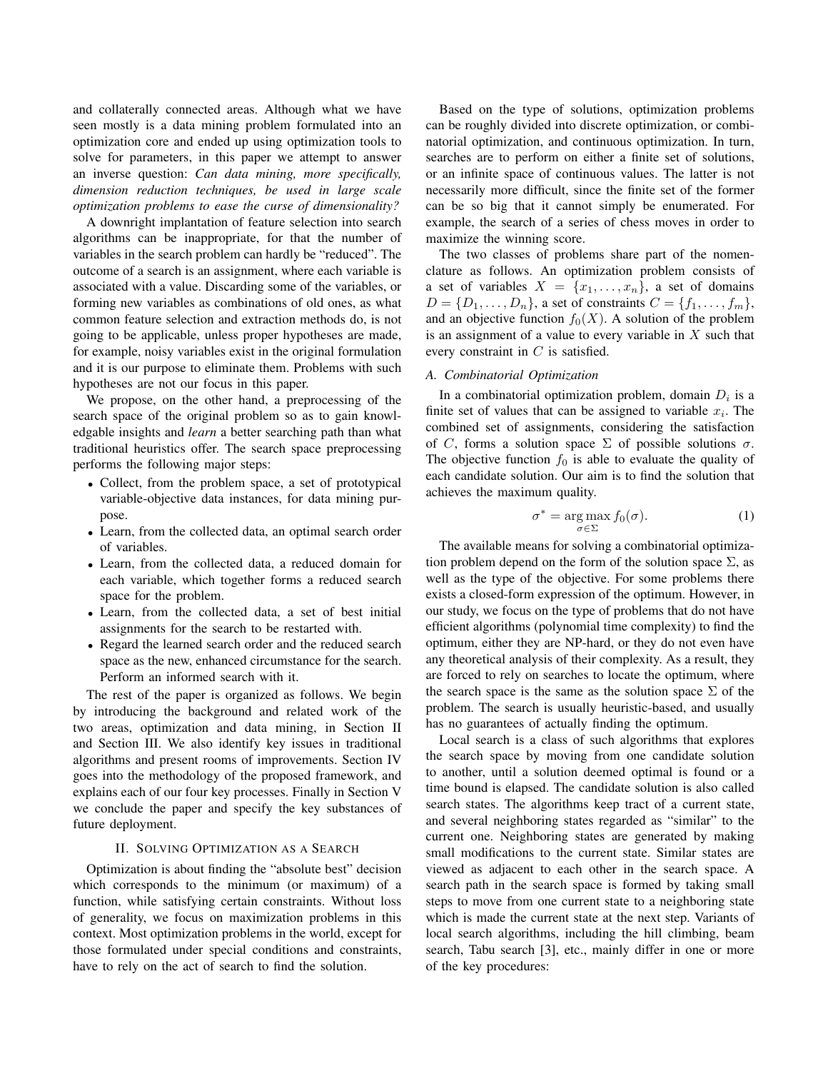and collaterally connected areas. Although what we have seen mostly is a data mining problem formulated into an optimization core and ended up using optimization tools to solve for parameters, in this paper we attempt to answer an inverse question: *Can data mining, more specifically, dimension reduction techniques, be used in large scale optimization problems to ease the curse of dimensionality?*

A downright implantation of feature selection into search algorithms can be inappropriate, for that the number of variables in the search problem can hardly be "reduced". The outcome of a search is an assignment, where each variable is associated with a value. Discarding some of the variables, or forming new variables as combinations of old ones, as what common feature selection and extraction methods do, is not going to be applicable, unless proper hypotheses are made, for example, noisy variables exist in the original formulation and it is our purpose to eliminate them. Problems with such hypotheses are not our focus in this paper.

We propose, on the other hand, a preprocessing of the search space of the original problem so as to gain knowledgable insights and *learn* a better searching path than what traditional heuristics offer. The search space preprocessing performs the following major steps:

- Collect, from the problem space, a set of prototypical variable-objective data instances, for data mining purpose.
- Learn, from the collected data, an optimal search order of variables.
- Learn, from the collected data, a reduced domain for each variable, which together forms a reduced search space for the problem.
- Learn, from the collected data, a set of best initial assignments for the search to be restarted with.
- Regard the learned search order and the reduced search space as the new, enhanced circumstance for the search. Perform an informed search with it.

The rest of the paper is organized as follows. We begin by introducing the background and related work of the two areas, optimization and data mining, in Section II and Section III. We also identify key issues in traditional algorithms and present rooms of improvements. Section IV goes into the methodology of the proposed framework, and explains each of our four key processes. Finally in Section V we conclude the paper and specify the key substances of future deployment.

# II. SOLVING OPTIMIZATION AS A SEARCH

Optimization is about finding the "absolute best" decision which corresponds to the minimum (or maximum) of a function, while satisfying certain constraints. Without loss of generality, we focus on maximization problems in this context. Most optimization problems in the world, except for those formulated under special conditions and constraints, have to rely on the act of search to find the solution.

Based on the type of solutions, optimization problems can be roughly divided into discrete optimization, or combinatorial optimization, and continuous optimization. In turn, searches are to perform on either a finite set of solutions, or an infinite space of continuous values. The latter is not necessarily more difficult, since the finite set of the former can be so big that it cannot simply be enumerated. For example, the search of a series of chess moves in order to maximize the winning score.

The two classes of problems share part of the nomenclature as follows. An optimization problem consists of a set of variables  $X = \{x_1, \ldots, x_n\}$ , a set of domains  $D = \{D_1, \ldots, D_n\}$ , a set of constraints  $C = \{f_1, \ldots, f_m\}$ , and an objective function  $f_0(X)$ . A solution of the problem is an assignment of a value to every variable in  $X$  such that every constraint in C is satisfied.

## *A. Combinatorial Optimization*

In a combinatorial optimization problem, domain  $D_i$  is a finite set of values that can be assigned to variable  $x_i$ . The combined set of assignments, considering the satisfaction of C, forms a solution space  $\Sigma$  of possible solutions  $\sigma$ . The objective function  $f_0$  is able to evaluate the quality of each candidate solution. Our aim is to find the solution that achieves the maximum quality.

$$
\sigma^* = \underset{\sigma \in \Sigma}{\arg \max} f_0(\sigma). \tag{1}
$$

The available means for solving a combinatorial optimization problem depend on the form of the solution space  $\Sigma$ , as well as the type of the objective. For some problems there exists a closed-form expression of the optimum. However, in our study, we focus on the type of problems that do not have efficient algorithms (polynomial time complexity) to find the optimum, either they are NP-hard, or they do not even have any theoretical analysis of their complexity. As a result, they are forced to rely on searches to locate the optimum, where the search space is the same as the solution space  $\Sigma$  of the problem. The search is usually heuristic-based, and usually has no guarantees of actually finding the optimum.

Local search is a class of such algorithms that explores the search space by moving from one candidate solution to another, until a solution deemed optimal is found or a time bound is elapsed. The candidate solution is also called search states. The algorithms keep tract of a current state, and several neighboring states regarded as "similar" to the current one. Neighboring states are generated by making small modifications to the current state. Similar states are viewed as adjacent to each other in the search space. A search path in the search space is formed by taking small steps to move from one current state to a neighboring state which is made the current state at the next step. Variants of local search algorithms, including the hill climbing, beam search, Tabu search [3], etc., mainly differ in one or more of the key procedures: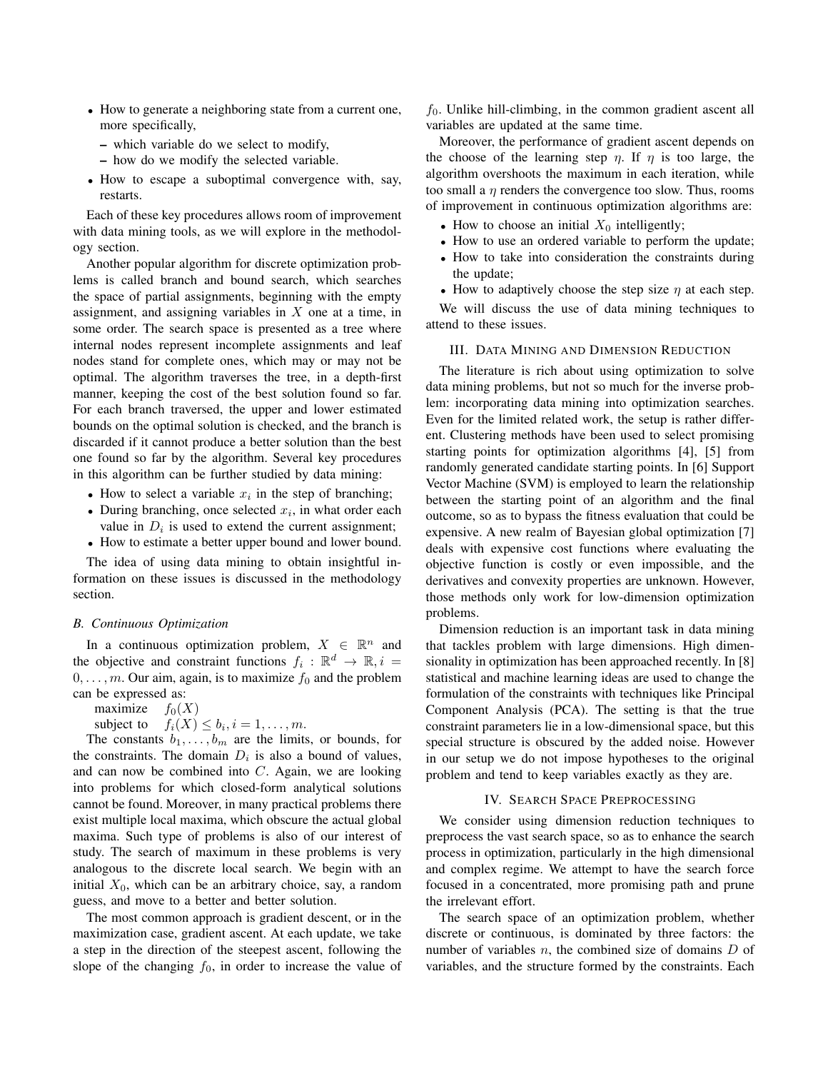- How to generate a neighboring state from a current one, more specifically,
	- which variable do we select to modify,
	- how do we modify the selected variable.
- How to escape a suboptimal convergence with, say, restarts.

Each of these key procedures allows room of improvement with data mining tools, as we will explore in the methodology section.

Another popular algorithm for discrete optimization problems is called branch and bound search, which searches the space of partial assignments, beginning with the empty assignment, and assigning variables in  $X$  one at a time, in some order. The search space is presented as a tree where internal nodes represent incomplete assignments and leaf nodes stand for complete ones, which may or may not be optimal. The algorithm traverses the tree, in a depth-first manner, keeping the cost of the best solution found so far. For each branch traversed, the upper and lower estimated bounds on the optimal solution is checked, and the branch is discarded if it cannot produce a better solution than the best one found so far by the algorithm. Several key procedures in this algorithm can be further studied by data mining:

- How to select a variable  $x_i$  in the step of branching;
- During branching, once selected  $x_i$ , in what order each value in  $D_i$  is used to extend the current assignment;
- How to estimate a better upper bound and lower bound.

The idea of using data mining to obtain insightful information on these issues is discussed in the methodology section.

## *B. Continuous Optimization*

In a continuous optimization problem,  $X \in \mathbb{R}^n$  and the objective and constraint functions  $f_i : \mathbb{R}^d \to \mathbb{R}, i =$  $0, \ldots, m$ . Our aim, again, is to maximize  $f_0$  and the problem can be expressed as:

maximize  $f_0(X)$ 

subject to  $f_i(X) \leq b_i, i = 1, \ldots, m$ .

The constants  $b_1, \ldots, b_m$  are the limits, or bounds, for the constraints. The domain  $D_i$  is also a bound of values, and can now be combined into  $C$ . Again, we are looking into problems for which closed-form analytical solutions cannot be found. Moreover, in many practical problems there exist multiple local maxima, which obscure the actual global maxima. Such type of problems is also of our interest of study. The search of maximum in these problems is very analogous to the discrete local search. We begin with an initial  $X_0$ , which can be an arbitrary choice, say, a random guess, and move to a better and better solution.

The most common approach is gradient descent, or in the maximization case, gradient ascent. At each update, we take a step in the direction of the steepest ascent, following the slope of the changing  $f_0$ , in order to increase the value of  $f_0$ . Unlike hill-climbing, in the common gradient ascent all variables are updated at the same time.

Moreover, the performance of gradient ascent depends on the choose of the learning step  $\eta$ . If  $\eta$  is too large, the algorithm overshoots the maximum in each iteration, while too small a  $\eta$  renders the convergence too slow. Thus, rooms of improvement in continuous optimization algorithms are:

- How to choose an initial  $X_0$  intelligently;
- How to use an ordered variable to perform the update;
- How to take into consideration the constraints during the update;
- How to adaptively choose the step size  $\eta$  at each step.

We will discuss the use of data mining techniques to attend to these issues.

# III. DATA MINING AND DIMENSION REDUCTION

The literature is rich about using optimization to solve data mining problems, but not so much for the inverse problem: incorporating data mining into optimization searches. Even for the limited related work, the setup is rather different. Clustering methods have been used to select promising starting points for optimization algorithms [4], [5] from randomly generated candidate starting points. In [6] Support Vector Machine (SVM) is employed to learn the relationship between the starting point of an algorithm and the final outcome, so as to bypass the fitness evaluation that could be expensive. A new realm of Bayesian global optimization [7] deals with expensive cost functions where evaluating the objective function is costly or even impossible, and the derivatives and convexity properties are unknown. However, those methods only work for low-dimension optimization problems.

Dimension reduction is an important task in data mining that tackles problem with large dimensions. High dimensionality in optimization has been approached recently. In [8] statistical and machine learning ideas are used to change the formulation of the constraints with techniques like Principal Component Analysis (PCA). The setting is that the true constraint parameters lie in a low-dimensional space, but this special structure is obscured by the added noise. However in our setup we do not impose hypotheses to the original problem and tend to keep variables exactly as they are.

## IV. SEARCH SPACE PREPROCESSING

We consider using dimension reduction techniques to preprocess the vast search space, so as to enhance the search process in optimization, particularly in the high dimensional and complex regime. We attempt to have the search force focused in a concentrated, more promising path and prune the irrelevant effort.

The search space of an optimization problem, whether discrete or continuous, is dominated by three factors: the number of variables  $n$ , the combined size of domains  $D$  of variables, and the structure formed by the constraints. Each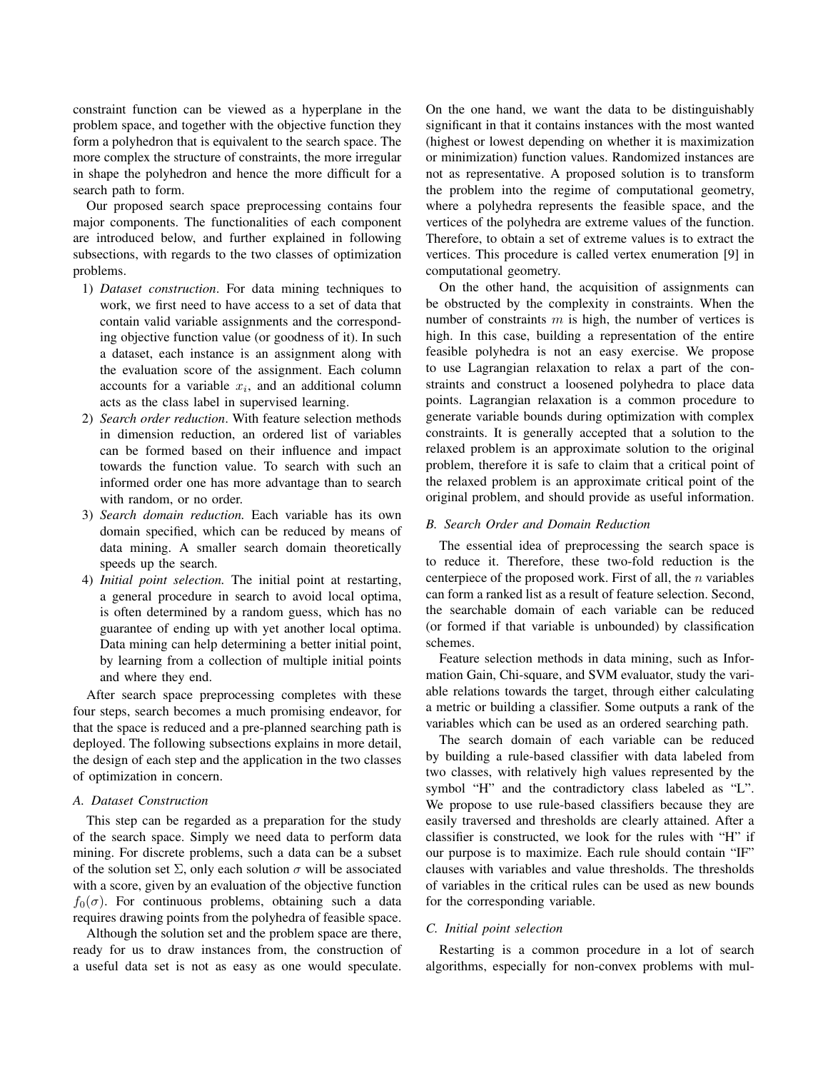constraint function can be viewed as a hyperplane in the problem space, and together with the objective function they form a polyhedron that is equivalent to the search space. The more complex the structure of constraints, the more irregular in shape the polyhedron and hence the more difficult for a search path to form.

Our proposed search space preprocessing contains four major components. The functionalities of each component are introduced below, and further explained in following subsections, with regards to the two classes of optimization problems.

- 1) *Dataset construction*. For data mining techniques to work, we first need to have access to a set of data that contain valid variable assignments and the corresponding objective function value (or goodness of it). In such a dataset, each instance is an assignment along with the evaluation score of the assignment. Each column accounts for a variable  $x_i$ , and an additional column acts as the class label in supervised learning.
- 2) *Search order reduction*. With feature selection methods in dimension reduction, an ordered list of variables can be formed based on their influence and impact towards the function value. To search with such an informed order one has more advantage than to search with random, or no order.
- 3) *Search domain reduction.* Each variable has its own domain specified, which can be reduced by means of data mining. A smaller search domain theoretically speeds up the search.
- 4) *Initial point selection.* The initial point at restarting, a general procedure in search to avoid local optima, is often determined by a random guess, which has no guarantee of ending up with yet another local optima. Data mining can help determining a better initial point, by learning from a collection of multiple initial points and where they end.

After search space preprocessing completes with these four steps, search becomes a much promising endeavor, for that the space is reduced and a pre-planned searching path is deployed. The following subsections explains in more detail, the design of each step and the application in the two classes of optimization in concern.

## *A. Dataset Construction*

This step can be regarded as a preparation for the study of the search space. Simply we need data to perform data mining. For discrete problems, such a data can be a subset of the solution set  $\Sigma$ , only each solution  $\sigma$  will be associated with a score, given by an evaluation of the objective function  $f_0(\sigma)$ . For continuous problems, obtaining such a data requires drawing points from the polyhedra of feasible space.

Although the solution set and the problem space are there, ready for us to draw instances from, the construction of a useful data set is not as easy as one would speculate. On the one hand, we want the data to be distinguishably significant in that it contains instances with the most wanted (highest or lowest depending on whether it is maximization or minimization) function values. Randomized instances are not as representative. A proposed solution is to transform the problem into the regime of computational geometry, where a polyhedra represents the feasible space, and the vertices of the polyhedra are extreme values of the function. Therefore, to obtain a set of extreme values is to extract the vertices. This procedure is called vertex enumeration [9] in computational geometry.

On the other hand, the acquisition of assignments can be obstructed by the complexity in constraints. When the number of constraints  $m$  is high, the number of vertices is high. In this case, building a representation of the entire feasible polyhedra is not an easy exercise. We propose to use Lagrangian relaxation to relax a part of the constraints and construct a loosened polyhedra to place data points. Lagrangian relaxation is a common procedure to generate variable bounds during optimization with complex constraints. It is generally accepted that a solution to the relaxed problem is an approximate solution to the original problem, therefore it is safe to claim that a critical point of the relaxed problem is an approximate critical point of the original problem, and should provide as useful information.

#### *B. Search Order and Domain Reduction*

The essential idea of preprocessing the search space is to reduce it. Therefore, these two-fold reduction is the centerpiece of the proposed work. First of all, the  $n$  variables can form a ranked list as a result of feature selection. Second, the searchable domain of each variable can be reduced (or formed if that variable is unbounded) by classification schemes.

Feature selection methods in data mining, such as Information Gain, Chi-square, and SVM evaluator, study the variable relations towards the target, through either calculating a metric or building a classifier. Some outputs a rank of the variables which can be used as an ordered searching path.

The search domain of each variable can be reduced by building a rule-based classifier with data labeled from two classes, with relatively high values represented by the symbol "H" and the contradictory class labeled as "L". We propose to use rule-based classifiers because they are easily traversed and thresholds are clearly attained. After a classifier is constructed, we look for the rules with "H" if our purpose is to maximize. Each rule should contain "IF" clauses with variables and value thresholds. The thresholds of variables in the critical rules can be used as new bounds for the corresponding variable.

## *C. Initial point selection*

Restarting is a common procedure in a lot of search algorithms, especially for non-convex problems with mul